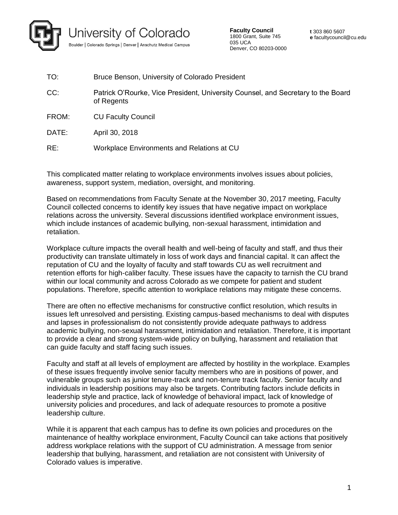

**Faculty Council** 1800 Grant, Suite 745 035 UCA Denver, CO 80203-0000

| TO:   | Bruce Benson, University of Colorado President                                                 |
|-------|------------------------------------------------------------------------------------------------|
| CC:   | Patrick O'Rourke, Vice President, University Counsel, and Secretary to the Board<br>of Regents |
| FROM: | <b>CU Faculty Council</b>                                                                      |
| DATE: | April 30, 2018                                                                                 |
| RE:   | Workplace Environments and Relations at CU                                                     |

This complicated matter relating to workplace environments involves issues about policies, awareness, support system, mediation, oversight, and monitoring.

Based on recommendations from Faculty Senate at the November 30, 2017 meeting, Faculty Council collected concerns to identify key issues that have negative impact on workplace relations across the university. Several discussions identified workplace environment issues, which include instances of academic bullying, non-sexual harassment, intimidation and retaliation.

Workplace culture impacts the overall health and well-being of faculty and staff, and thus their productivity can translate ultimately in loss of work days and financial capital. It can affect the reputation of CU and the loyalty of faculty and staff towards CU as well recruitment and retention efforts for high-caliber faculty. These issues have the capacity to tarnish the CU brand within our local community and across Colorado as we compete for patient and student populations. Therefore, specific attention to workplace relations may mitigate these concerns.

There are often no effective mechanisms for constructive conflict resolution, which results in issues left unresolved and persisting. Existing campus-based mechanisms to deal with disputes and lapses in professionalism do not consistently provide adequate pathways to address academic bullying, non-sexual harassment, intimidation and retaliation. Therefore, it is important to provide a clear and strong system-wide policy on bullying, harassment and retaliation that can guide faculty and staff facing such issues.

Faculty and staff at all levels of employment are affected by hostility in the workplace. Examples of these issues frequently involve senior faculty members who are in positions of power, and vulnerable groups such as junior tenure-track and non-tenure track faculty. Senior faculty and individuals in leadership positions may also be targets. Contributing factors include deficits in leadership style and practice, lack of knowledge of behavioral impact, lack of knowledge of university policies and procedures, and lack of adequate resources to promote a positive leadership culture.

While it is apparent that each campus has to define its own policies and procedures on the maintenance of healthy workplace environment, Faculty Council can take actions that positively address workplace relations with the support of CU administration. A message from senior leadership that bullying, harassment, and retaliation are not consistent with University of Colorado values is imperative.